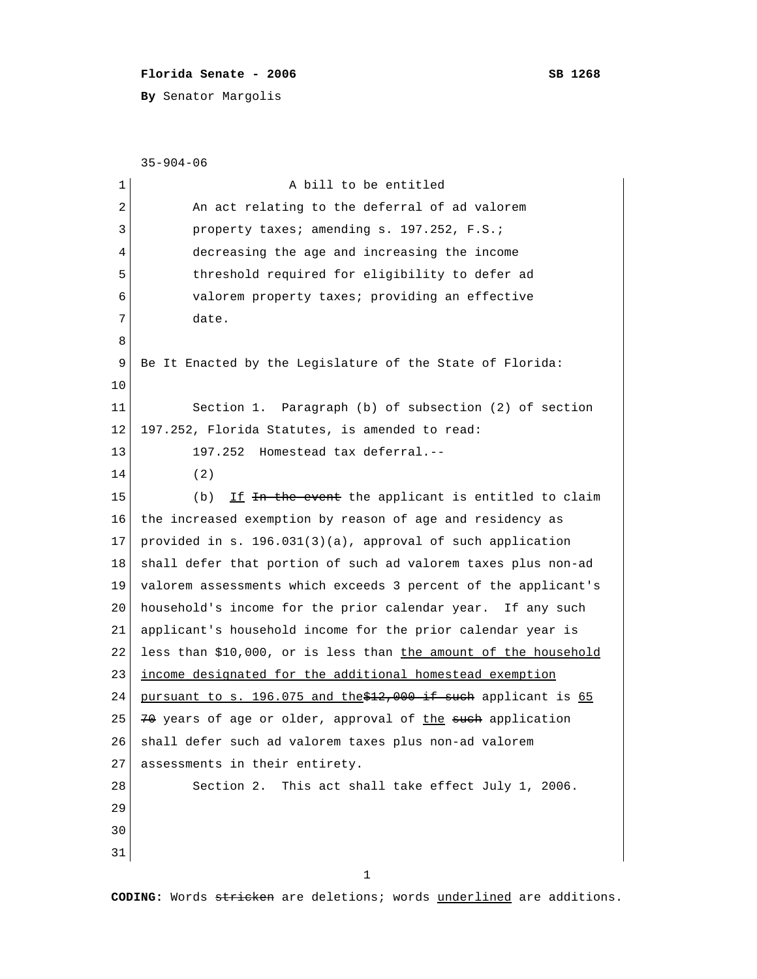## **Florida Senate - 2006 SB 1268**

**By** Senator Margolis

```
 35-904-06
 1 a bill to be entitled
 2 An act relating to the deferral of ad valorem
 3 property taxes; amending s. 197.252, F.S.;
  4 decreasing the age and increasing the income
  5 threshold required for eligibility to defer ad
  6 valorem property taxes; providing an effective
  7 date.
 8 
 9 Be It Enacted by the Legislature of the State of Florida:
10 
11 Section 1. Paragraph (b) of subsection (2) of section
12 197.252, Florida Statutes, is amended to read:
13 197.252 Homestead tax deferral.--
14 (2)
15 (b) If \overline{f} is the event the applicant is entitled to claim
16 the increased exemption by reason of age and residency as
17 provided in s. 196.031(3)(a), approval of such application
18 shall defer that portion of such ad valorem taxes plus non-ad
19 valorem assessments which exceeds 3 percent of the applicant's
20 household's income for the prior calendar year. If any such
21 applicant's household income for the prior calendar year is
22 less than $10,000, or is less than the amount of the household
23 income designated for the additional homestead exemption
24 pursuant to s. 196.075 and the $12,000 if such applicant is 65
25 70 years of age or older, approval of the such application
26 shall defer such ad valorem taxes plus non-ad valorem
27 assessments in their entirety.
28 Section 2. This act shall take effect July 1, 2006.
29 
30 
31 
 1
```
**CODING:** Words stricken are deletions; words underlined are additions.